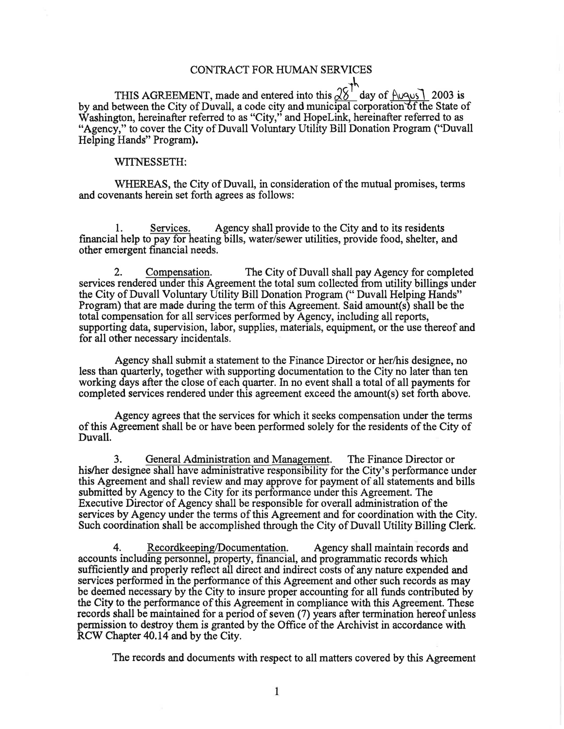## CONTRACT FOR HUMAN SERVICES

THIS AGREEMENT, made and entered into this  $\frac{\sqrt{8}}{10}$  day of  $\frac{\text{Augus}}{\text{Augus}}$  2003 is by and between the City of Duvall, a code city and municipal corporation of the State of Washington, hereinafter referred to as "City," and HopeLink, hereinafter referred to as "Agency," to cover the City of Duvall Voluntary Utility Bill Donation Program ("Duvall Helping Hands" Program).

## WITNESSETH:

WHEREAS, the City of Duvall, in consideration of the mutual promises, terms and covenants herein set forth agrees as follows:

1. Services. Agency shall provide to the City and to its residents financial help to pay for heating bills, water/sewer utilities, provide food, shelter, and other emergent financial needs.

2. Compensation. The City of Duvall shall pay Agency for completed services rendered under this Agreement the total sum collected from utility billings under the City of Duvall Voluntary Utility Bill Donation Program (" Duvall Helping Hands" Program) that are made during the term of this Agreement. Said amount(s) shall be the total compensation for all services performed by Agency, including all reports, supporting data, supervision, labor, supplies, materials, equipment, or the use thereof and for all other necessary incidentals.

Agency shall submit a statement to the Finance Director or her/his designee, no less than quarterly, together with supporting documentation to the City no later than ten working days after the close of each quarter. In no event shall a total of all payments for completed services rendered under this agreement exceed the amount(s) set forth above.

Agency agrees that the services for which it seeks compensation under the terms of this Agreement shall be or have been performed solely for the residents of the City of Duvall.

3. General Administration and Management. The Finance Director or his/her designee shall have administrative responsibility for the City's performance under this Agreement and shall review and may approve for payment of all statements and bills submitted by Agency to the City for its performance under this Agreement. The Executive Director of Agency shall be responsible for overall administration of the services by Agency under the terms of this Agreement and for coordination with the City. Such coordination shall be accomplished through the City of Duvall Utility Billing Clerk.

4. Record keeping/Documentation. Agency shall maintain records and accounts including personnel, property, financial, and programmatic records which sufficiently and properly reflect all direct and indirect costs of any nature expended and services performed in the performance of this Agreement and other such records as may be deemed necessary by the City to insure proper accounting for all funds contributed by the City to the performance of this Agreement in compliance with this Agreement. These records shall be maintained for a period of seven (7) years after termination hereof unless permission to destroy them is granted by the Offrce of the Archivist in accordance with RCW Chapter 40.14 and by the City.

The records and documents with respect to all matters covered by this Agreement